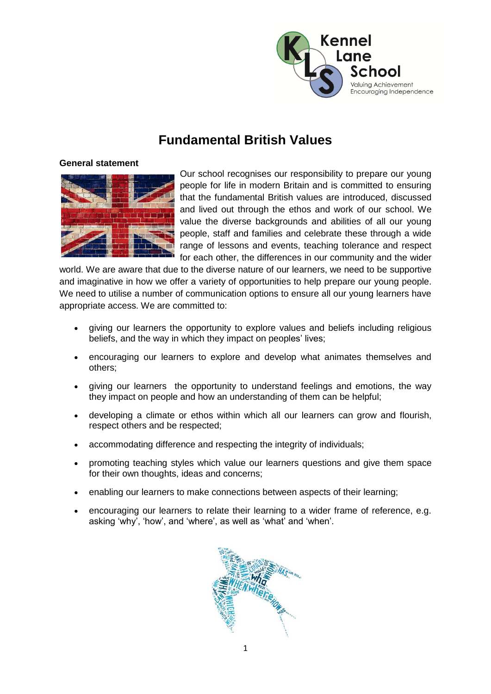

# **Fundamental British Values**

# **General statement**



Our school recognises our responsibility to prepare our young people for life in modern Britain and is committed to ensuring that the fundamental British values are introduced, discussed and lived out through the ethos and work of our school. We value the diverse backgrounds and abilities of all our young people, staff and families and celebrate these through a wide range of lessons and events, teaching tolerance and respect for each other, the differences in our community and the wider

world. We are aware that due to the diverse nature of our learners, we need to be supportive and imaginative in how we offer a variety of opportunities to help prepare our young people. We need to utilise a number of communication options to ensure all our young learners have appropriate access. We are committed to:

- giving our learners the opportunity to explore values and beliefs including religious beliefs, and the way in which they impact on peoples' lives;
- encouraging our learners to explore and develop what animates themselves and others;
- giving our learners the opportunity to understand feelings and emotions, the way they impact on people and how an understanding of them can be helpful;
- developing a climate or ethos within which all our learners can grow and flourish, respect others and be respected;
- accommodating difference and respecting the integrity of individuals;
- promoting teaching styles which value our learners questions and give them space for their own thoughts, ideas and concerns;
- enabling our learners to make connections between aspects of their learning;
- encouraging our learners to relate their learning to a wider frame of reference, e.g. asking 'why', 'how', and 'where', as well as 'what' and 'when'.

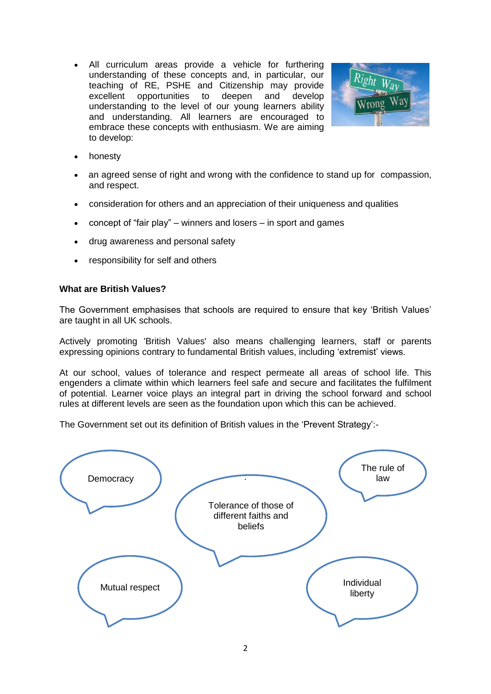All curriculum areas provide a vehicle for furthering understanding of these concepts and, in particular, our teaching of RE, PSHE and Citizenship may provide excellent opportunities to deepen and develop understanding to the level of our young learners ability and understanding. All learners are encouraged to embrace these concepts with enthusiasm. We are aiming to develop:



- honesty
- an agreed sense of right and wrong with the confidence to stand up for compassion, and respect.
- consideration for others and an appreciation of their uniqueness and qualities
- concept of "fair play" winners and losers in sport and games
- drug awareness and personal safety
- responsibility for self and others

#### **What are British Values?**

The Government emphasises that schools are required to ensure that key 'British Values' are taught in all UK schools.

Actively promoting 'British Values' also means challenging learners, staff or parents expressing opinions contrary to fundamental British values, including 'extremist' views.

At our school, values of tolerance and respect permeate all areas of school life. This engenders a climate within which learners feel safe and secure and facilitates the fulfilment of potential. Learner voice plays an integral part in driving the school forward and school rules at different levels are seen as the foundation upon which this can be achieved.

The Government set out its definition of British values in the 'Prevent Strategy':-

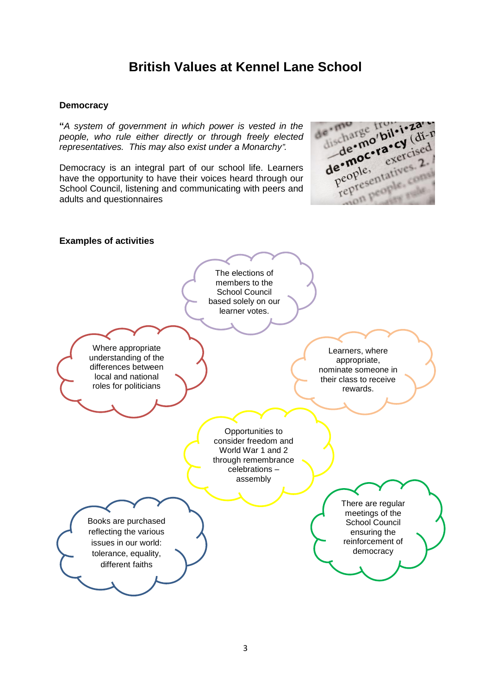# **British Values at Kennel Lane School**

## **Democracy**

**"***A system of government in which power is vested in the people, who rule either directly or through freely elected representatives. This may also exist under a Monarchy".*

Democracy is an integral part of our school life. Learners have the opportunity to have their voices heard through our School Council, listening and communicating with peers and adults and questionnaires



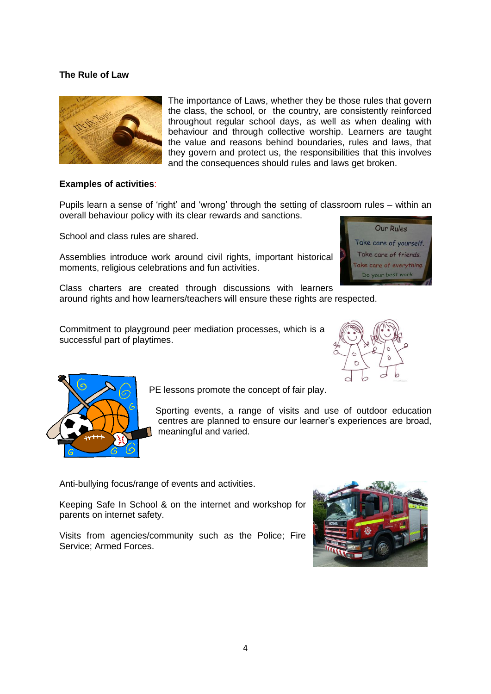# **The Rule of Law**



The importance of Laws, whether they be those rules that govern the class, the school, or the country, are consistently reinforced throughout regular school days, as well as when dealing with behaviour and through collective worship. Learners are taught the value and reasons behind boundaries, rules and laws, that they govern and protect us, the responsibilities that this involves and the consequences should rules and laws get broken.

#### **Examples of activities**:

Pupils learn a sense of 'right' and 'wrong' through the setting of classroom rules – within an overall behaviour policy with its clear rewards and sanctions.

School and class rules are shared.

Assemblies introduce work around civil rights, important historical moments, religious celebrations and fun activities.

Class charters are created through discussions with learners around rights and how learners/teachers will ensure these rights are respected.

Commitment to playground peer mediation processes, which is a successful part of playtimes.



Our Rules Take care of yourself. Take care of friends. Take care of everything. Do your best work



PE lessons promote the concept of fair play.

 Sporting events, a range of visits and use of outdoor education centres are planned to ensure our learner's experiences are broad, meaningful and varied.

Anti-bullying focus/range of events and activities.

Keeping Safe In School & on the internet and workshop for parents on internet safety.

Visits from agencies/community such as the Police; Fire Service; Armed Forces.

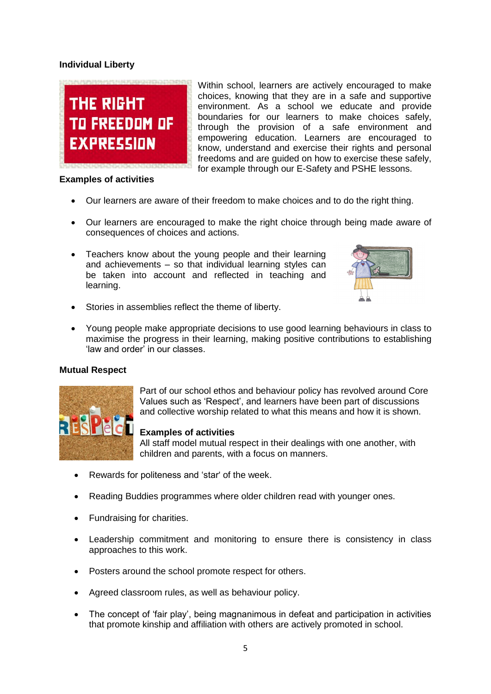# **Individual Liberty**



## **Examples of activities**

Within school, learners are actively encouraged to make choices, knowing that they are in a safe and supportive environment. As a school we educate and provide boundaries for our learners to make choices safely, through the provision of a safe environment and empowering education. Learners are encouraged to know, understand and exercise their rights and personal freedoms and are guided on how to exercise these safely, for example through our E-Safety and PSHE lessons.

- Our learners are aware of their freedom to make choices and to do the right thing.
- Our learners are encouraged to make the right choice through being made aware of consequences of choices and actions.
- Teachers know about the young people and their learning and achievements – so that individual learning styles can be taken into account and reflected in teaching and learning.



- Stories in assemblies reflect the theme of liberty.
- Young people make appropriate decisions to use good learning behaviours in class to maximise the progress in their learning, making positive contributions to establishing 'law and order' in our classes.

# **Mutual Respect**



Part of our school ethos and behaviour policy has revolved around Core Values such as 'Respect', and learners have been part of discussions and collective worship related to what this means and how it is shown.

# **Examples of activities**

All staff model mutual respect in their dealings with one another, with children and parents, with a focus on manners.

- Rewards for politeness and 'star' of the week.
- Reading Buddies programmes where older children read with younger ones.
- Fundraising for charities.
- Leadership commitment and monitoring to ensure there is consistency in class approaches to this work.
- Posters around the school promote respect for others.
- Agreed classroom rules, as well as behaviour policy.
- The concept of 'fair play', being magnanimous in defeat and participation in activities that promote kinship and affiliation with others are actively promoted in school.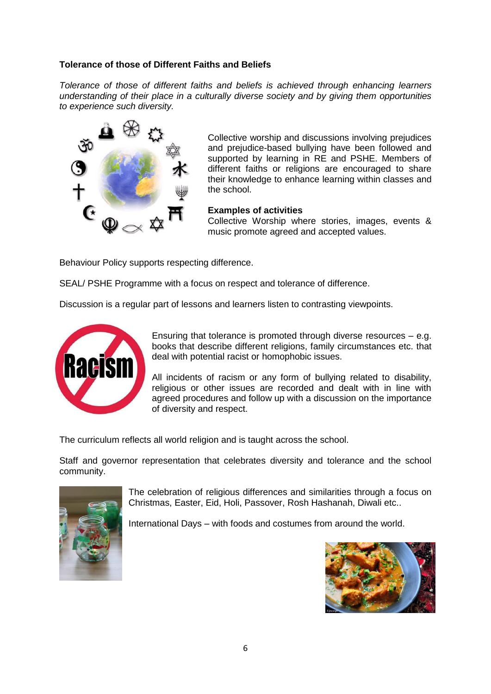# **Tolerance of those of Different Faiths and Beliefs**

*Tolerance of those of different faiths and beliefs is achieved through enhancing learners understanding of their place in a culturally diverse society and by giving them opportunities to experience such diversity.*



Collective worship and discussions involving prejudices and prejudice-based bullying have been followed and supported by learning in RE and PSHE. Members of different faiths or religions are encouraged to share their knowledge to enhance learning within classes and the school.

## **Examples of activities**

Collective Worship where stories, images, events & music promote agreed and accepted values.

Behaviour Policy supports respecting difference.

SEAL/ PSHE Programme with a focus on respect and tolerance of difference.

Discussion is a regular part of lessons and learners listen to contrasting viewpoints.



Ensuring that tolerance is promoted through diverse resources – e.g. books that describe different religions, family circumstances etc. that deal with potential racist or homophobic issues.

All incidents of racism or any form of bullying related to disability, religious or other issues are recorded and dealt with in line with agreed procedures and follow up with a discussion on the importance of diversity and respect.

The curriculum reflects all world religion and is taught across the school.

Staff and governor representation that celebrates diversity and tolerance and the school community.



The celebration of religious differences and similarities through a focus on Christmas, Easter, Eid, Holi, Passover, Rosh Hashanah, Diwali etc..

International Days – with foods and costumes from around the world.

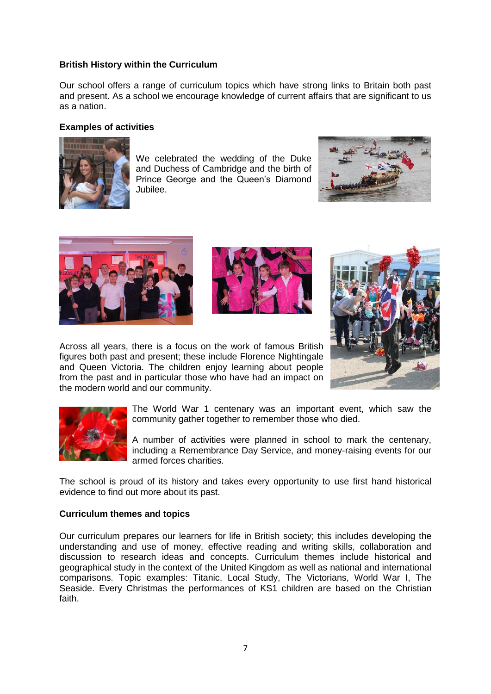## **British History within the Curriculum**

Our school offers a range of curriculum topics which have strong links to Britain both past and present. As a school we encourage knowledge of current affairs that are significant to us as a nation.

#### **Examples of activities**



We celebrated the wedding of the Duke and Duchess of Cambridge and the birth of Prince George and the Queen's Diamond Jubilee.





the modern world and our community.



Across all years, there is a focus on the work of famous British figures both past and present; these include Florence Nightingale and Queen Victoria. The children enjoy learning about people from the past and in particular those who have had an impact on



The World War 1 centenary was an important event, which saw the community gather together to remember those who died.

A number of activities were planned in school to mark the centenary, including a Remembrance Day Service, and money-raising events for our armed forces charities.

The school is proud of its history and takes every opportunity to use first hand historical evidence to find out more about its past.

#### **Curriculum themes and topics**

Our curriculum prepares our learners for life in British society; this includes developing the understanding and use of money, effective reading and writing skills, collaboration and discussion to research ideas and concepts. Curriculum themes include historical and geographical study in the context of the United Kingdom as well as national and international comparisons. Topic examples: Titanic, Local Study, The Victorians, World War I, The Seaside. Every Christmas the performances of KS1 children are based on the Christian faith.